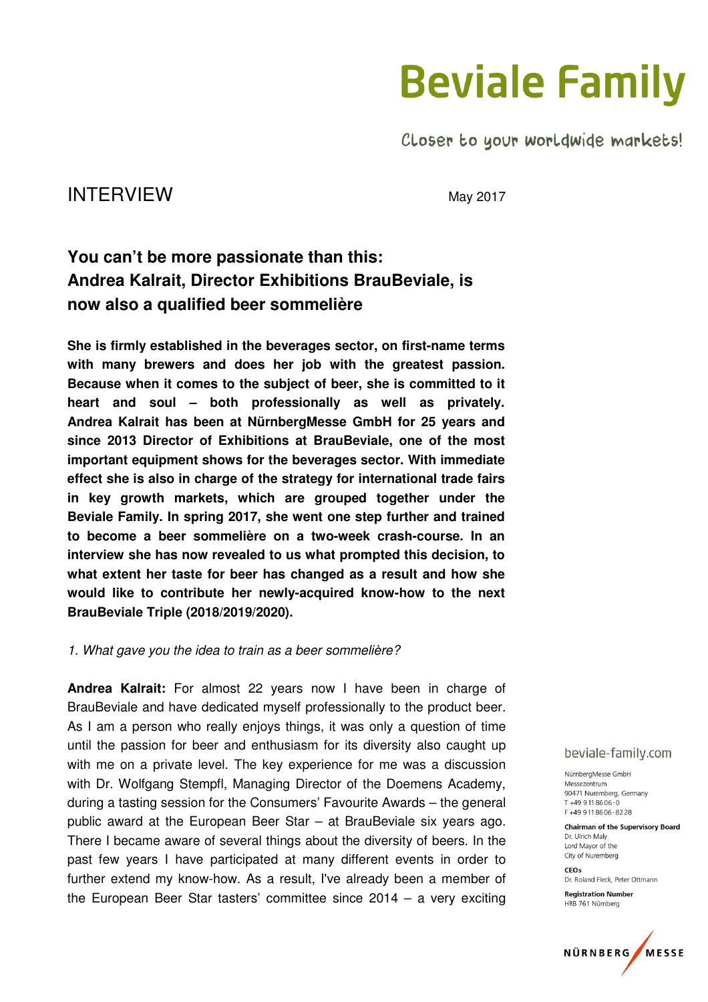## **Beviale Family**

Closer to your worldwide markets!

## INTERVIEW May 2017

## **You can't be more passionate than this: Andrea Kalrait, Director Exhibitions BrauBeviale, is now also a qualified beer sommelière**

**She is firmly established in the beverages sector, on first-name terms with many brewers and does her job with the greatest passion. Because when it comes to the subject of beer, she is committed to it heart and soul – both professionally as well as privately. Andrea Kalrait has been at NürnbergMesse GmbH for 25 years and since 2013 Director of Exhibitions at BrauBeviale, one of the most important equipment shows for the beverages sector. With immediate effect she is also in charge of the strategy for international trade fairs in key growth markets, which are grouped together under the Beviale Family. In spring 2017, she went one step further and trained to become a beer sommelière on a two-week crash-course. In an interview she has now revealed to us what prompted this decision, to what extent her taste for beer has changed as a result and how she would like to contribute her newly-acquired know-how to the next BrauBeviale Triple (2018/2019/2020).** 

#### 1. What gave you the idea to train as a beer sommelière?

**Andrea Kalrait:** For almost 22 years now I have been in charge of BrauBeviale and have dedicated myself professionally to the product beer. As I am a person who really enjoys things, it was only a question of time until the passion for beer and enthusiasm for its diversity also caught up with me on a private level. The key experience for me was a discussion with Dr. Wolfgang Stempfl, Managing Director of the Doemens Academy, during a tasting session for the Consumers' Favourite Awards – the general public award at the European Beer Star – at BrauBeviale six years ago. There I became aware of several things about the diversity of beers. In the past few years I have participated at many different events in order to further extend my know-how. As a result, I've already been a member of the European Beer Star tasters' committee since 2014 – a very exciting

#### beviale-family.com

NürnbergMesse GmbH Messezentrum 90471 Nuremberg Germany  $T + 499118606 - 0$ F+499118606-8228

Chairman of the Supervisory Board Dr. Ulrich Malv Lord Mayor of the City of Nuremberg

 $CFOS$ Dr. Roland Fleck, Peter Ottmann

**Registration Number** HRB 761 Nürnberg

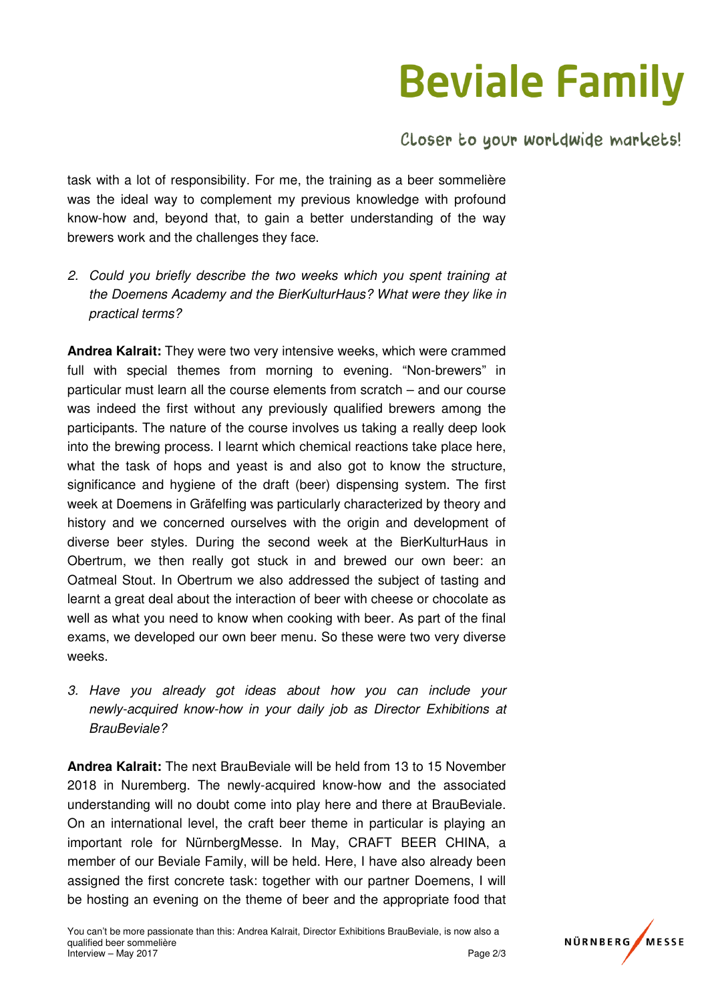# **Beviale Family**

### Closer to your worldwide markets!

task with a lot of responsibility. For me, the training as a beer sommelière was the ideal way to complement my previous knowledge with profound know-how and, beyond that, to gain a better understanding of the way brewers work and the challenges they face.

2. Could you briefly describe the two weeks which you spent training at the Doemens Academy and the BierKulturHaus? What were they like in practical terms?

**Andrea Kalrait:** They were two very intensive weeks, which were crammed full with special themes from morning to evening. "Non-brewers" in particular must learn all the course elements from scratch – and our course was indeed the first without any previously qualified brewers among the participants. The nature of the course involves us taking a really deep look into the brewing process. I learnt which chemical reactions take place here, what the task of hops and yeast is and also got to know the structure, significance and hygiene of the draft (beer) dispensing system. The first week at Doemens in Gräfelfing was particularly characterized by theory and history and we concerned ourselves with the origin and development of diverse beer styles. During the second week at the BierKulturHaus in Obertrum, we then really got stuck in and brewed our own beer: an Oatmeal Stout. In Obertrum we also addressed the subject of tasting and learnt a great deal about the interaction of beer with cheese or chocolate as well as what you need to know when cooking with beer. As part of the final exams, we developed our own beer menu. So these were two very diverse weeks.

3. Have you already got ideas about how you can include your newly-acquired know-how in your daily job as Director Exhibitions at BrauBeviale?

**Andrea Kalrait:** The next BrauBeviale will be held from 13 to 15 November 2018 in Nuremberg. The newly-acquired know-how and the associated understanding will no doubt come into play here and there at BrauBeviale. On an international level, the craft beer theme in particular is playing an important role for NürnbergMesse. In May, CRAFT BEER CHINA, a member of our Beviale Family, will be held. Here, I have also already been assigned the first concrete task: together with our partner Doemens, I will be hosting an evening on the theme of beer and the appropriate food that